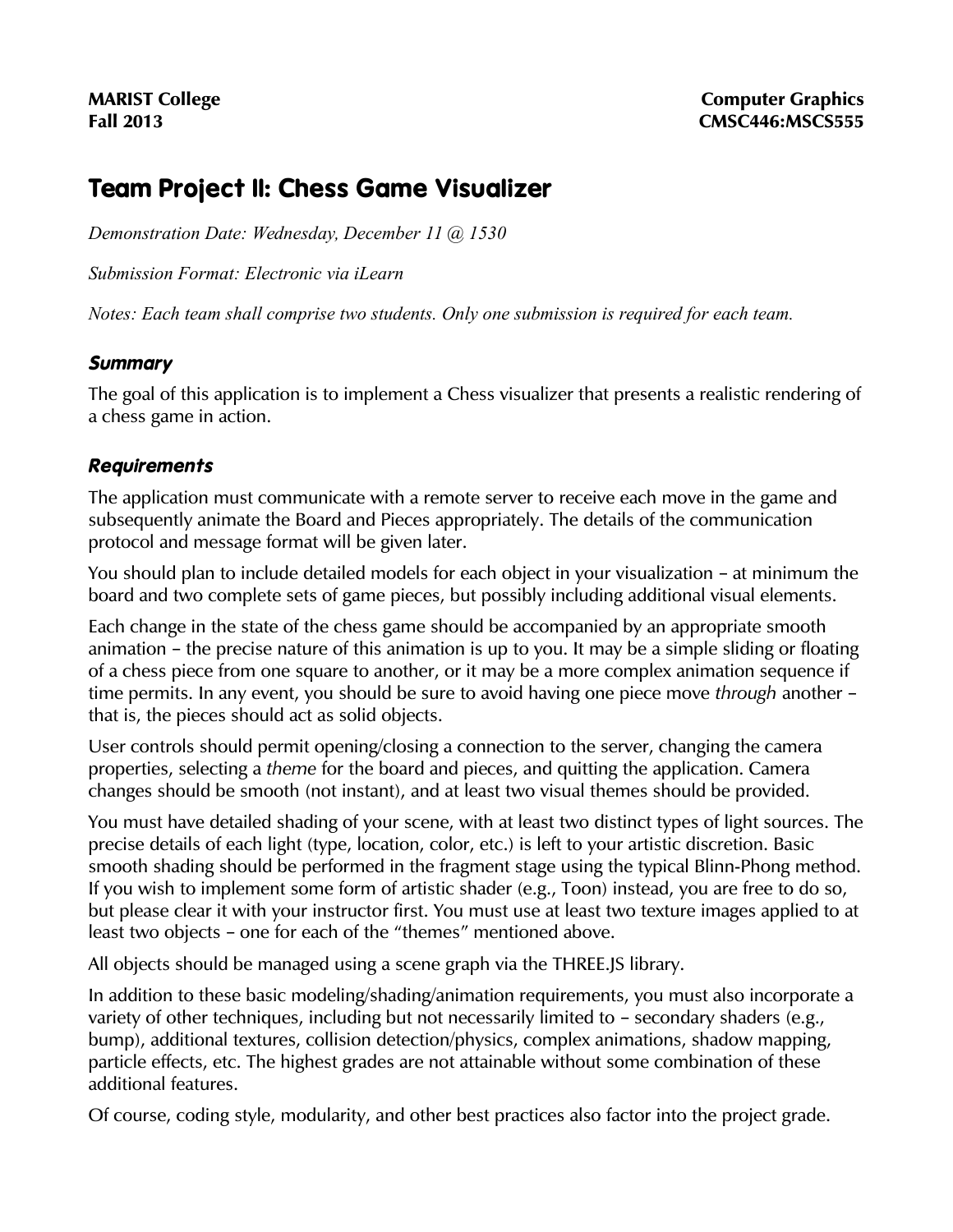# **Team Project II: Chess Game Visualizer**

*Demonstration Date: Wednesday, December 11 @ 1530*

*Submission Format: Electronic via iLearn*

*Notes: Each team shall comprise two students. Only one submission is required for each team.*

### **Summary**

The goal of this application is to implement a Chess visualizer that presents a realistic rendering of a chess game in action.

# **Requirements**

The application must communicate with a remote server to receive each move in the game and subsequently animate the Board and Pieces appropriately. The details of the communication protocol and message format will be given later.

You should plan to include detailed models for each object in your visualization – at minimum the board and two complete sets of game pieces, but possibly including additional visual elements.

Each change in the state of the chess game should be accompanied by an appropriate smooth animation – the precise nature of this animation is up to you. It may be a simple sliding or floating of a chess piece from one square to another, or it may be a more complex animation sequence if time permits. In any event, you should be sure to avoid having one piece move through another that is, the pieces should act as solid objects.

User controls should permit opening/closing a connection to the server, changing the camera properties, selecting a theme for the board and pieces, and quitting the application. Camera changes should be smooth (not instant), and at least two visual themes should be provided.

You must have detailed shading of your scene, with at least two distinct types of light sources. The precise details of each light (type, location, color, etc.) is left to your artistic discretion. Basic smooth shading should be performed in the fragment stage using the typical Blinn-Phong method. If you wish to implement some form of artistic shader (e.g., Toon) instead, you are free to do so, but please clear it with your instructor first. You must use at least two texture images applied to at least two objects - one for each of the "themes" mentioned above.

All objects should be managed using a scene graph via the THREE.JS library.

In addition to these basic modeling/shading/animation requirements, you must also incorporate a variety of other techniques, including but not necessarily limited to - secondary shaders (e.g., bump), additional textures, collision detection/physics, complex animations, shadow mapping, particle effects, etc. The highest grades are not attainable without some combination of these additional features.

Of course, coding style, modularity, and other best practices also factor into the project grade.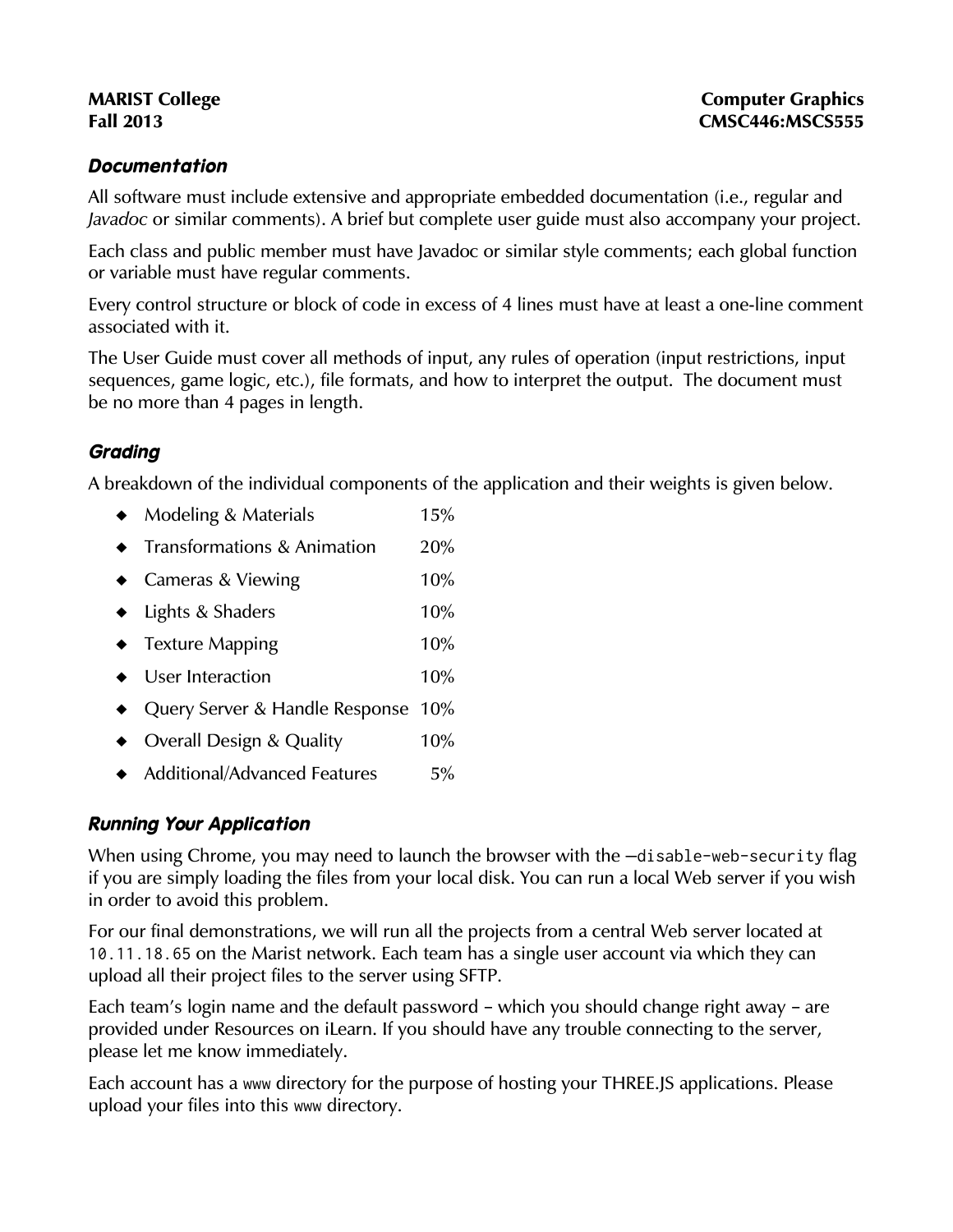#### **Documentation**

All software must include extensive and appropriate embedded documentation (i.e., regular and Javadoc or similar comments). A brief but complete user guide must also accompany your project.

Each class and public member must have Javadoc or similar style comments; each global function or variable must have regular comments.

Every control structure or block of code in excess of 4 lines must have at least a one-line comment associated with it.

The User Guide must cover all methods of input, any rules of operation (input restrictions, input sequences, game logic, etc.), file formats, and how to interpret the output. The document must be no more than 4 pages in length.

### **Grading**

A breakdown of the individual components of the application and their weights is given below.

- $\bullet$  Modeling & Materials 15% **Transformations & Animation** 20% ◆ Cameras & Viewing 10%
- ◆ Lights & Shaders 10%
- $\bullet$  Texture Mapping 20%
- ◆ User Interaction 10%
- ◆ Query Server & Handle Response 10%
- ◆ Overall Design & Quality 10%
- ◆ Additional/Advanced Features 5%

### **Running Your Application**

When using Chrome, you may need to launch the browser with the -disable-web-security flag if you are simply loading the files from your local disk. You can run a local Web server if you wish in order to avoid this problem.

For our final demonstrations, we will run all the projects from a central Web server located at 10.11.18.65 on the Marist network. Each team has a single user account via which they can upload all their project files to the server using SFTP.

Each team's login name and the default password – which you should change right away – are provided under Resources on iLearn. If you should have any trouble connecting to the server, please let me know immediately.

Each account has a www directory for the purpose of hosting your THREE.JS applications. Please upload your files into this www directory.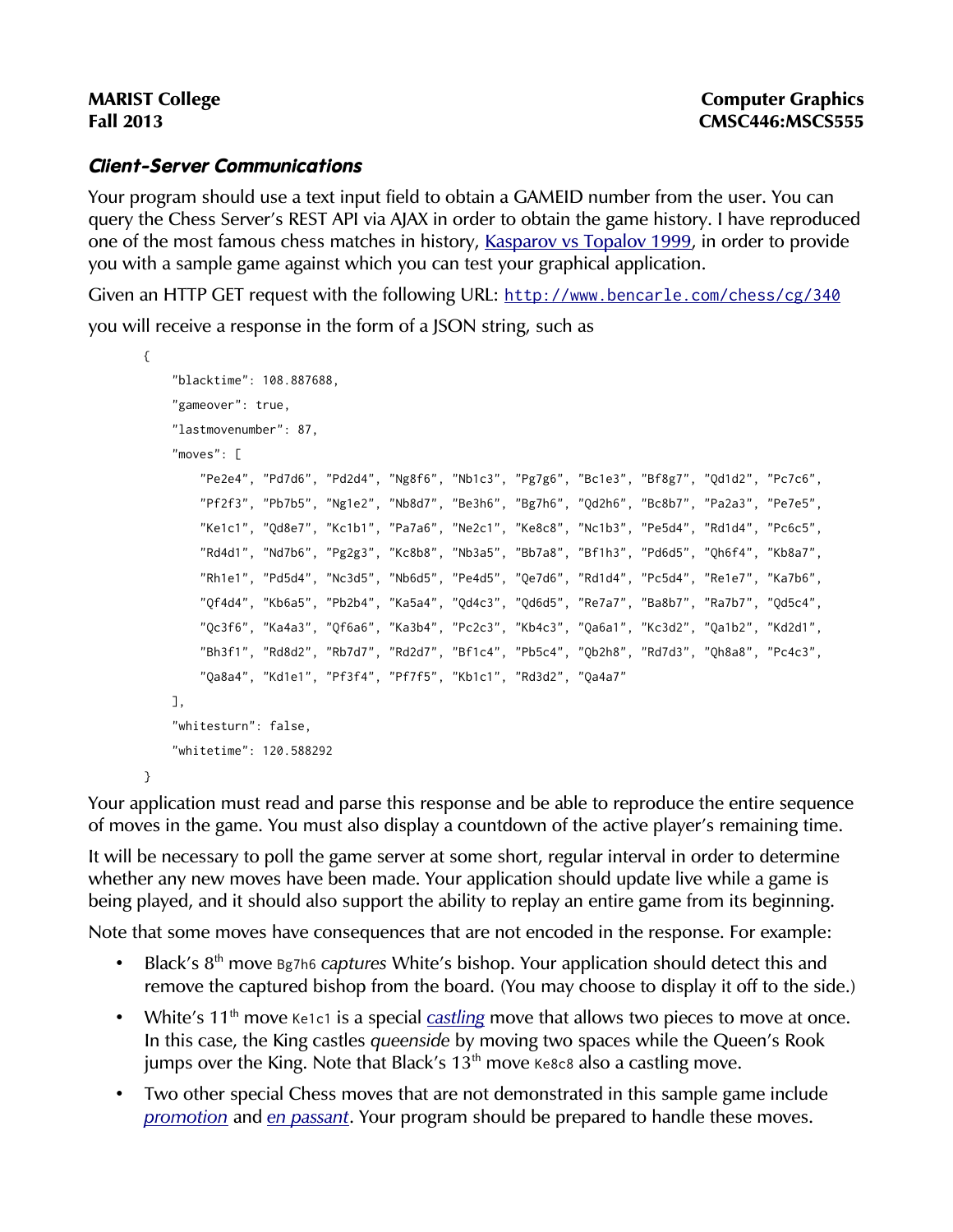# **Client-Server Communications**

Your program should use a text input field to obtain a GAMEID number from the user. You can query the Chess Server's REST API via AJAX in order to obtain the game history. I have reproduced one of the most famous chess matches in history, [Kasparov vs Topalov 1999,](http://www.chessgames.com/perl/chessgame?gid=1011478) in order to provide you with a sample game against which you can test your graphical application.

Given an HTTP GET request with the following URL: <http://www.bencarle.com/chess/cg/340> you will receive a response in the form of a JSON string, such as

```
{ 
     "blacktime": 108.887688, 
     "gameover": true, 
     "lastmovenumber": 87, 
     "moves": [ 
         "Pe2e4", "Pd7d6", "Pd2d4", "Ng8f6", "Nb1c3", "Pg7g6", "Bc1e3", "Bf8g7", "Qd1d2", "Pc7c6", 
         "Pf2f3", "Pb7b5", "Ng1e2", "Nb8d7", "Be3h6", "Bg7h6", "Qd2h6", "Bc8b7", "Pa2a3", "Pe7e5", 
         "Ke1c1", "Qd8e7", "Kc1b1", "Pa7a6", "Ne2c1", "Ke8c8", "Nc1b3", "Pe5d4", "Rd1d4", "Pc6c5", 
         "Rd4d1", "Nd7b6", "Pg2g3", "Kc8b8", "Nb3a5", "Bb7a8", "Bf1h3", "Pd6d5", "Qh6f4", "Kb8a7", 
         "Rh1e1", "Pd5d4", "Nc3d5", "Nb6d5", "Pe4d5", "Qe7d6", "Rd1d4", "Pc5d4", "Re1e7", "Ka7b6", 
         "Qf4d4", "Kb6a5", "Pb2b4", "Ka5a4", "Qd4c3", "Qd6d5", "Re7a7", "Ba8b7", "Ra7b7", "Qd5c4", 
         "Qc3f6", "Ka4a3", "Qf6a6", "Ka3b4", "Pc2c3", "Kb4c3", "Qa6a1", "Kc3d2", "Qa1b2", "Kd2d1", 
         "Bh3f1", "Rd8d2", "Rb7d7", "Rd2d7", "Bf1c4", "Pb5c4", "Qb2h8", "Rd7d3", "Qh8a8", "Pc4c3", 
         "Qa8a4", "Kd1e1", "Pf3f4", "Pf7f5", "Kb1c1", "Rd3d2", "Qa4a7" 
     ], 
     "whitesturn": false, 
     "whitetime": 120.588292 
}
```
Your application must read and parse this response and be able to reproduce the entire sequence of moves in the game. You must also display a countdown of the active player's remaining time.

It will be necessary to poll the game server at some short, regular interval in order to determine whether any new moves have been made. Your application should update live while a game is being played, and it should also support the ability to replay an entire game from its beginning.

Note that some moves have consequences that are not encoded in the response. For example:

- Black's 8<sup>th</sup> move Bg7h6 captures White's bishop. Your application should detect this and remove the captured bishop from the board. (You may choose to display it off to the side.)
- White's  $11<sup>th</sup>$  move Ke1c1 is a special *[castling](http://en.wikipedia.org/wiki/Castling)* move that allows two pieces to move at once. In this case, the King castles queenside by moving two spaces while the Queen's Rook jumps over the King. Note that Black's  $13<sup>th</sup>$  move Ke8c8 also a castling move.
- Two other special Chess moves that are not demonstrated in this sample game include [promotion](http://en.wikipedia.org/wiki/Promotion_(chess)) and [en passant](http://en.wikipedia.org/wiki/En_passant). Your program should be prepared to handle these moves.